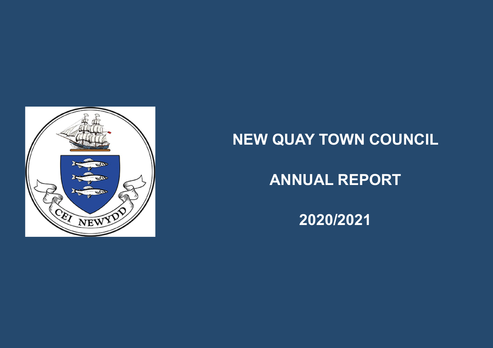

# **NEW QUAY TOWN COUNCIL**

# **ANNUAL REPORT**

**2020/2021**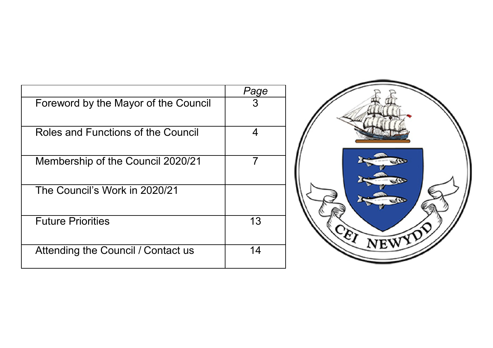|                                      | Page |
|--------------------------------------|------|
| Foreword by the Mayor of the Council |      |
| Roles and Functions of the Council   | 4    |
| Membership of the Council 2020/21    |      |
| The Council's Work in 2020/21        |      |
| <b>Future Priorities</b>             | 13   |
| Attending the Council / Contact us   | 14   |

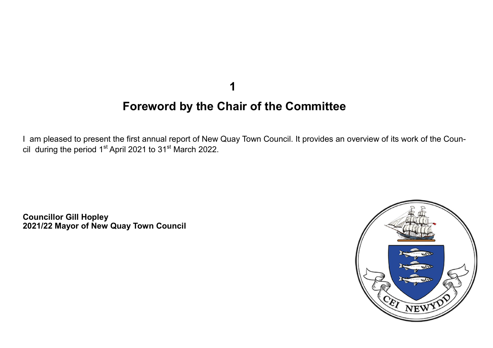**1**

# **Foreword by the Chair of the Committee**

I am pleased to present the first annual report of New Quay Town Council. It provides an overview of its work of the Council during the period  $1<sup>st</sup>$  April 2021 to 31 $<sup>st</sup>$  March 2022.</sup>

**Councillor Gill Hopley 2021/22 Mayor of New Quay Town Council**

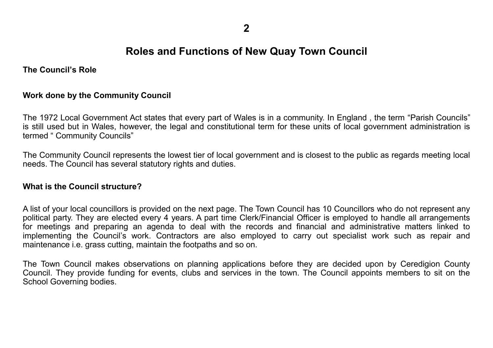# **Roles and Functions of New Quay Town Council**

**The Council's Role**

#### **Work done by the Community Council**

The 1972 Local Government Act states that every part of Wales is in a community. In England , the term "Parish Councils" is still used but in Wales, however, the legal and constitutional term for these units of local government administration is termed " Community Councils"

The Community Council represents the lowest tier of local government and is closest to the public as regards meeting local needs. The Council has several statutory rights and duties.

#### **What is the Council structure?**

A list of your local councillors is provided on the next page. The Town Council has 10 Councillors who do not represent any political party. They are elected every 4 years. A part time Clerk/Financial Officer is employed to handle all arrangements for meetings and preparing an agenda to deal with the records and financial and administrative matters linked to implementing the Council's work. Contractors are also employed to carry out specialist work such as repair and maintenance i.e. grass cutting, maintain the footpaths and so on.

The Town Council makes observations on planning applications before they are decided upon by Ceredigion County Council. They provide funding for events, clubs and services in the town. The Council appoints members to sit on the School Governing bodies.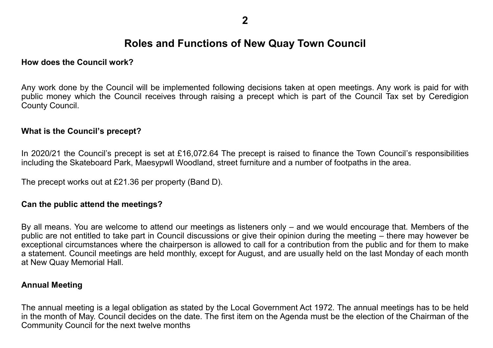# **Roles and Functions of New Quay Town Council**

### **How does the Council work?**

Any work done by the Council will be implemented following decisions taken at open meetings. Any work is paid for with public money which the Council receives through raising a precept which is part of the Council Tax set by Ceredigion County Council.

### **What is the Council's precept?**

In 2020/21 the Council's precept is set at £16,072.64 The precept is raised to finance the Town Council's responsibilities including the Skateboard Park, Maesypwll Woodland, street furniture and a number of footpaths in the area.

The precept works out at £21.36 per property (Band D).

## **Can the public attend the meetings?**

By all means. You are welcome to attend our meetings as listeners only – and we would encourage that. Members of the public are not entitled to take part in Council discussions or give their opinion during the meeting – there may however be exceptional circumstances where the chairperson is allowed to call for a contribution from the public and for them to make a statement. Council meetings are held monthly, except for August, and are usually held on the last Monday of each month at New Quay Memorial Hall.

#### **Annual Meeting**

The annual meeting is a legal obligation as stated by the Local Government Act 1972. The annual meetings has to be held in the month of May. Council decides on the date. The first item on the Agenda must be the election of the Chairman of the Community Council for the next twelve months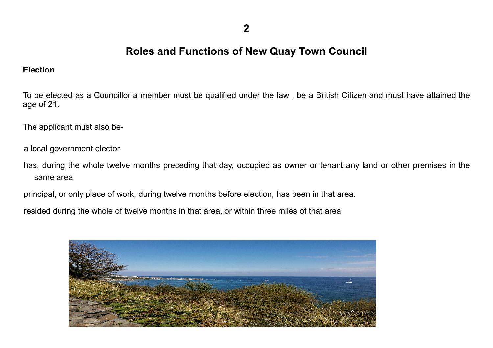**2**

# **Roles and Functions of New Quay Town Council**

### **Election**

To be elected as a Councillor a member must be qualified under the law , be a British Citizen and must have attained the age of 21.

The applicant must also be-

a local government elector

has, during the whole twelve months preceding that day, occupied as owner or tenant any land or other premises in the same area

principal, or only place of work, during twelve months before election, has been in that area.

resided during the whole of twelve months in that area, or within three miles of that area

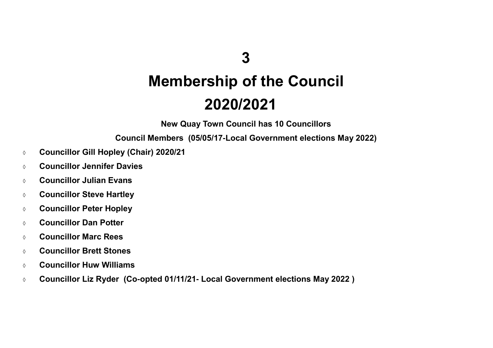# **Membership of the Council 2020/2021**

**New Quay Town Council has 10 Councillors**

**Council Members (05/05/17-Local Government elections May 2022)**

- **Councillor Gill Hopley (Chair) 2020/21**
- **Councillor Jennifer Davies**
- **Councillor Julian Evans**
- **Councillor Steve Hartley**
- **Councillor Peter Hopley**
- **Councillor Dan Potter**
- **Councillor Marc Rees**
- **Councillor Brett Stones**
- **Councillor Huw Williams**
- **Councillor Liz Ryder (Co-opted 01/11/21- Local Government elections May 2022 )**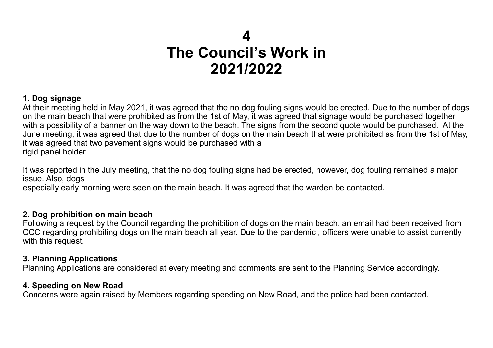# **1. Dog signage**

At their meeting held in May 2021, it was agreed that the no dog fouling signs would be erected. Due to the number of dogs on the main beach that were prohibited as from the 1st of May, it was agreed that signage would be purchased together with a possibility of a banner on the way down to the beach. The signs from the second quote would be purchased. At the June meeting, it was agreed that due to the number of dogs on the main beach that were prohibited as from the 1st of May, it was agreed that two pavement signs would be purchased with a rigid panel holder.

It was reported in the July meeting, that the no dog fouling signs had be erected, however, dog fouling remained a major issue. Also, dogs

especially early morning were seen on the main beach. It was agreed that the warden be contacted.

## **2. Dog prohibition on main beach**

Following a request by the Council regarding the prohibition of dogs on the main beach, an email had been received from CCC regarding prohibiting dogs on the main beach all year. Due to the pandemic , officers were unable to assist currently with this request.

## **3. Planning Applications**

Planning Applications are considered at every meeting and comments are sent to the Planning Service accordingly.

## **4. Speeding on New Road**

Concerns were again raised by Members regarding speeding on New Road, and the police had been contacted.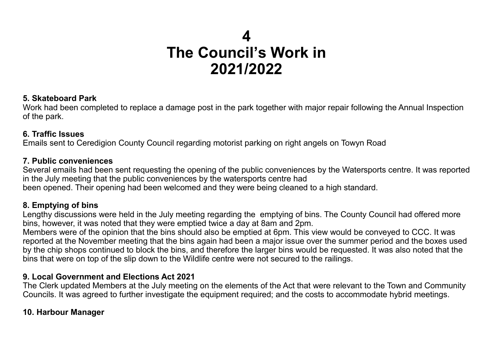### **5. Skateboard Park**

Work had been completed to replace a damage post in the park together with major repair following the Annual Inspection of the park.

# **6. Traffic Issues**

Emails sent to Ceredigion County Council regarding motorist parking on right angels on Towyn Road

## **7. Public conveniences**

Several emails had been sent requesting the opening of the public conveniences by the Watersports centre. It was reported in the July meeting that the public conveniences by the watersports centre had

been opened. Their opening had been welcomed and they were being cleaned to a high standard.

# **8. Emptying of bins**

Lengthy discussions were held in the July meeting regarding the emptying of bins. The County Council had offered more bins, however, it was noted that they were emptied twice a day at 8am and 2pm.

Members were of the opinion that the bins should also be emptied at 6pm. This view would be conveyed to CCC. It was reported at the November meeting that the bins again had been a major issue over the summer period and the boxes used by the chip shops continued to block the bins, and therefore the larger bins would be requested. It was also noted that the bins that were on top of the slip down to the Wildlife centre were not secured to the railings.

# **9. Local Government and Elections Act 2021**

The Clerk updated Members at the July meeting on the elements of the Act that were relevant to the Town and Community Councils. It was agreed to further investigate the equipment required; and the costs to accommodate hybrid meetings.

# **10. Harbour Manager**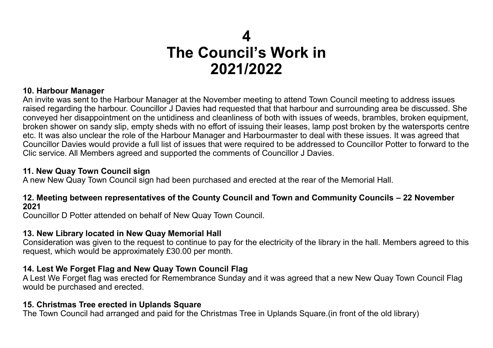# **10. Harbour Manager**

An invite was sent to the Harbour Manager at the November meeting to attend Town Council meeting to address issues raised regarding the harbour. Councillor J Davies had requested that that harbour and surrounding area be discussed. She conveyed her disappointment on the untidiness and cleanliness of both with issues of weeds, brambles, broken equipment, broken shower on sandy slip, empty sheds with no effort of issuing their leases, lamp post broken by the watersports centre etc. It was also unclear the role of the Harbour Manager and Harbourmaster to deal with these issues. It was agreed that Councillor Davies would provide a full list of issues that were required to be addressed to Councillor Potter to forward to the Clic service. All Members agreed and supported the comments of Councillor J Davies.

# **11. New Quay Town Council sign**

A new New Quay Town Council sign had been purchased and erected at the rear of the Memorial Hall.

## **12. Meeting between representatives of the County Council and Town and Community Councils – 22 November 2021**

Councillor D Potter attended on behalf of New Quay Town Council.

# **13. New Library located in New Quay Memorial Hall**

Consideration was given to the request to continue to pay for the electricity of the library in the hall. Members agreed to this request, which would be approximately £30.00 per month.

# **14. Lest We Forget Flag and New Quay Town Council Flag**

A Lest We Forget flag was erected for Remembrance Sunday and it was agreed that a new New Quay Town Council Flag would be purchased and erected.

# **15. Christmas Tree erected in Uplands Square**

The Town Council had arranged and paid for the Christmas Tree in Uplands Square.(in front of the old library)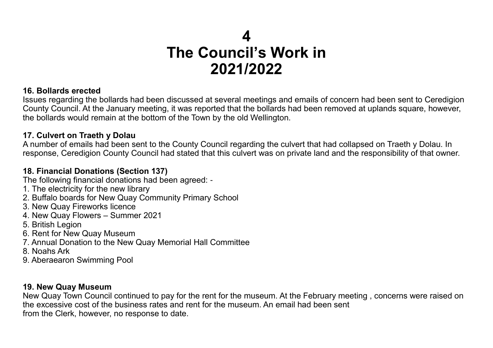# **16. Bollards erected**

Issues regarding the bollards had been discussed at several meetings and emails of concern had been sent to Ceredigion County Council. At the January meeting, it was reported that the bollards had been removed at uplands square, however, the bollards would remain at the bottom of the Town by the old Wellington.

# **17. Culvert on Traeth y Dolau**

A number of emails had been sent to the County Council regarding the culvert that had collapsed on Traeth y Dolau. In response, Ceredigion County Council had stated that this culvert was on private land and the responsibility of that owner.

# **18. Financial Donations (Section 137)**

The following financial donations had been agreed: -

- 1. The electricity for the new library
- 2. Buffalo boards for New Quay Community Primary School
- 3. New Quay Fireworks licence
- 4. New Quay Flowers Summer 2021
- 5. British Legion
- 6. Rent for New Quay Museum
- 7. Annual Donation to the New Quay Memorial Hall Committee
- 8. Noahs Ark
- 9. Aberaearon Swimming Pool

# **19. New Quay Museum**

New Quay Town Council continued to pay for the rent for the museum. At the February meeting , concerns were raised on the excessive cost of the business rates and rent for the museum. An email had been sent from the Clerk, however, no response to date.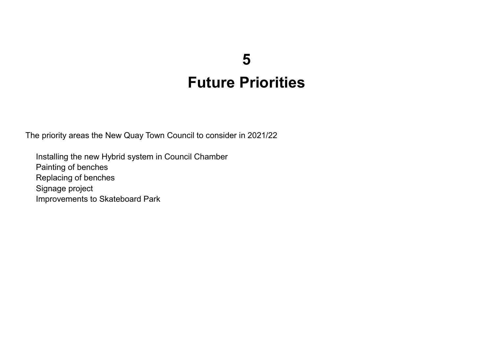# **5 Future Priorities**

The priority areas the New Quay Town Council to consider in 2021/22

Installing the new Hybrid system in Council Chamber Painting of benches Replacing of benches Signage project Improvements to Skateboard Park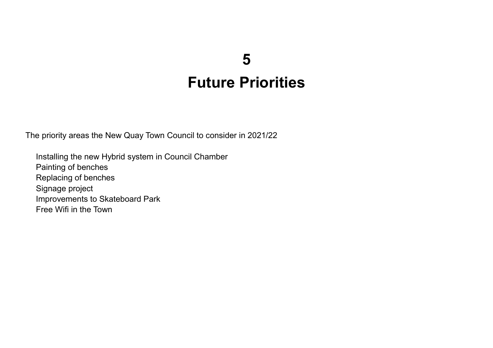# **5 Future Priorities**

The priority areas the New Quay Town Council to consider in 2021/22

Installing the new Hybrid system in Council Chamber Painting of benches Replacing of benches Signage project Improvements to Skateboard Park Free Wifi in the Town